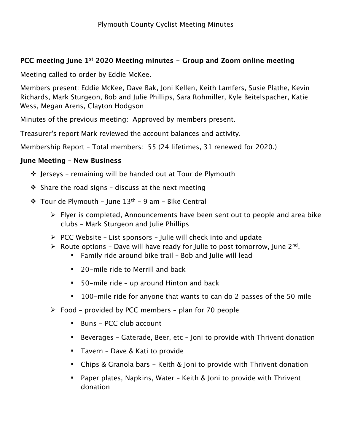# **PCC meeting June 1st 2020 Meeting minutes - Group and Zoom online meeting**

Meeting called to order by Eddie McKee.

Members present: Eddie McKee, Dave Bak, Joni Kellen, Keith Lamfers, Susie Plathe, Kevin Richards, Mark Sturgeon, Bob and Julie Phillips, Sara Rohmiller, Kyle Beitelspacher, Katie Wess, Megan Arens, Clayton Hodgson

Minutes of the previous meeting: Approved by members present.

Treasurer's report Mark reviewed the account balances and activity.

Membership Report – Total members: 55 (24 lifetimes, 31 renewed for 2020.)

## **June Meeting – New Business**

- Jerseys remaining will be handed out at Tour de Plymouth
- $\cdot$  Share the road signs discuss at the next meeting
- $\div$  Tour de Plymouth June 13<sup>th</sup> 9 am Bike Central
	- $\triangleright$  Flyer is completed, Announcements have been sent out to people and area bike clubs – Mark Sturgeon and Julie Phillips
	- $\triangleright$  PCC Website List sponsors Julie will check into and update
	- $\triangleright$  Route options Dave will have ready for Julie to post tomorrow, June 2<sup>nd</sup>.
		- Family ride around bike trail Bob and Julie will lead
		- 20-mile ride to Merrill and back
		- 50-mile ride up around Hinton and back
		- 100-mile ride for anyone that wants to can do 2 passes of the 50 mile
	- $\triangleright$  Food provided by PCC members plan for 70 people
		- Buns  $-$  PCC club account
		- Beverages Gaterade, Beer, etc Joni to provide with Thrivent donation
		- Tavern Dave & Kati to provide
		- Chips & Granola bars Keith & Joni to provide with Thrivent donation
		- Paper plates, Napkins, Water Keith & Joni to provide with Thrivent donation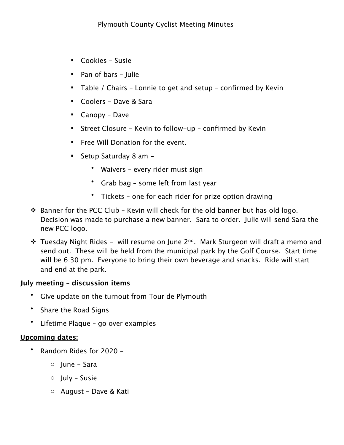- Cookies Susie
- Pan of bars Julie
- Table / Chairs Lonnie to get and setup confirmed by Kevin
- Coolers Dave & Sara
- Canopy Dave
- Street Closure Kevin to follow-up confirmed by Kevin
- **Filter** Free Will Donation for the event.
- Setup Saturday 8 am  $-$ 
	- Waivers every rider must sign
	- Grab bag some left from last year
	- Tickets one for each rider for prize option drawing
- \* Banner for the PCC Club Kevin will check for the old banner but has old logo. Decision was made to purchase a new banner. Sara to order. Julie will send Sara the new PCC logo.
- **\*** Tuesday Night Rides will resume on June 2<sup>nd</sup>. Mark Sturgeon will draft a memo and send out. These will be held from the municipal park by the Golf Course. Start time will be 6:30 pm. Everyone to bring their own beverage and snacks. Ride will start and end at the park.

#### **July meeting – discussion items**

- GIve update on the turnout from Tour de Plymouth
- Share the Road Signs
- Lifetime Plaque go over examples

#### **Upcoming dates:**

- Random Rides for 2020
	- o June Sara
	- o July Susie
	- o August Dave & Kati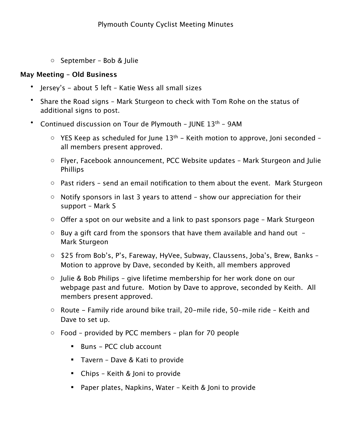o September – Bob & Julie

### **May Meeting – Old Business**

- Jersey's about 5 left Katie Wess all small sizes
- Share the Road signs Mark Sturgeon to check with Tom Rohe on the status of additional signs to post.
- Continued discussion on Tour de Plymouth JUNE  $13<sup>th</sup>$  9AM
	- $\circ$  YES Keep as scheduled for June  $13<sup>th</sup>$  Keith motion to approve, Joni seconded all members present approved.
	- o Flyer, Facebook announcement, PCC Website updates Mark Sturgeon and Julie Phillips
	- o Past riders send an email notification to them about the event. Mark Sturgeon
	- $\circ$  Notify sponsors in last 3 years to attend show our appreciation for their support – Mark S
	- $\circ$  Offer a spot on our website and a link to past sponsors page Mark Sturgeon
	- $\circ$  Buy a gift card from the sponsors that have them available and hand out  $-$ Mark Sturgeon
	- o \$25 from Bob's, P's, Fareway, HyVee, Subway, Claussens, Joba's, Brew, Banks Motion to approve by Dave, seconded by Keith, all members approved
	- o Julie & Bob Philips give lifetime membership for her work done on our webpage past and future. Motion by Dave to approve, seconded by Keith. All members present approved.
	- $\circ$  Route Family ride around bike trail, 20-mile ride, 50-mile ride Keith and Dave to set up.
	- $\circ$  Food provided by PCC members plan for 70 people
		- Buns PCC club account
		- Tavern Dave & Kati to provide
		- Chips Keith & Joni to provide
		- Paper plates, Napkins, Water Keith & Joni to provide